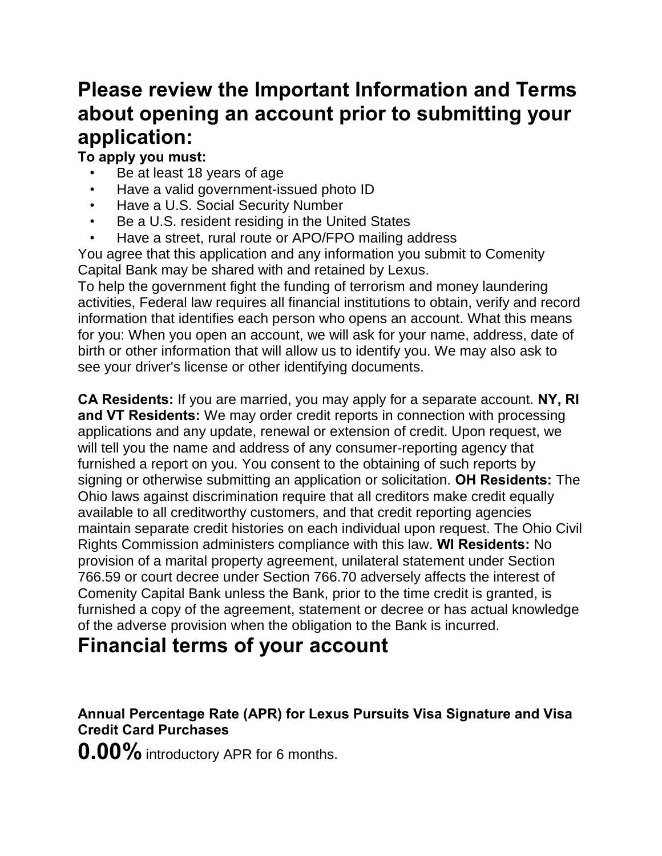# **Please review the Important Information and Terms about opening an account prior to submitting your application:**

### **To apply you must:**

- Be at least 18 years of age
- Have a valid government-issued photo ID
- Have a U.S. Social Security Number
- Be a U.S. resident residing in the United States
- Have a street, rural route or APO/FPO mailing address

You agree that this application and any information you submit to Comenity Capital Bank may be shared with and retained by Lexus.

To help the government fight the funding of terrorism and money laundering activities, Federal law requires all financial institutions to obtain, verify and record information that identifies each person who opens an account. What this means for you: When you open an account, we will ask for your name, address, date of birth or other information that will allow us to identify you. We may also ask to see your driver's license or other identifying documents.

**CA Residents:** If you are married, you may apply for a separate account. **NY, RI and VT Residents:** We may order credit reports in connection with processing applications and any update, renewal or extension of credit. Upon request, we will tell you the name and address of any consumer-reporting agency that furnished a report on you. You consent to the obtaining of such reports by signing or otherwise submitting an application or solicitation. **OH Residents:** The Ohio laws against discrimination require that all creditors make credit equally available to all creditworthy customers, and that credit reporting agencies maintain separate credit histories on each individual upon request. The Ohio Civil Rights Commission administers compliance with this law. **WI Residents:** No provision of a marital property agreement, unilateral statement under Section 766.59 or court decree under Section 766.70 adversely affects the interest of Comenity Capital Bank unless the Bank, prior to the time credit is granted, is furnished a copy of the agreement, statement or decree or has actual knowledge of the adverse provision when the obligation to the Bank is incurred.

# **Financial terms of your account**

#### **Annual Percentage Rate (APR) for Lexus Pursuits Visa Signature and Visa Credit Card Purchases**

**0.00%** introductory APR for 6 months.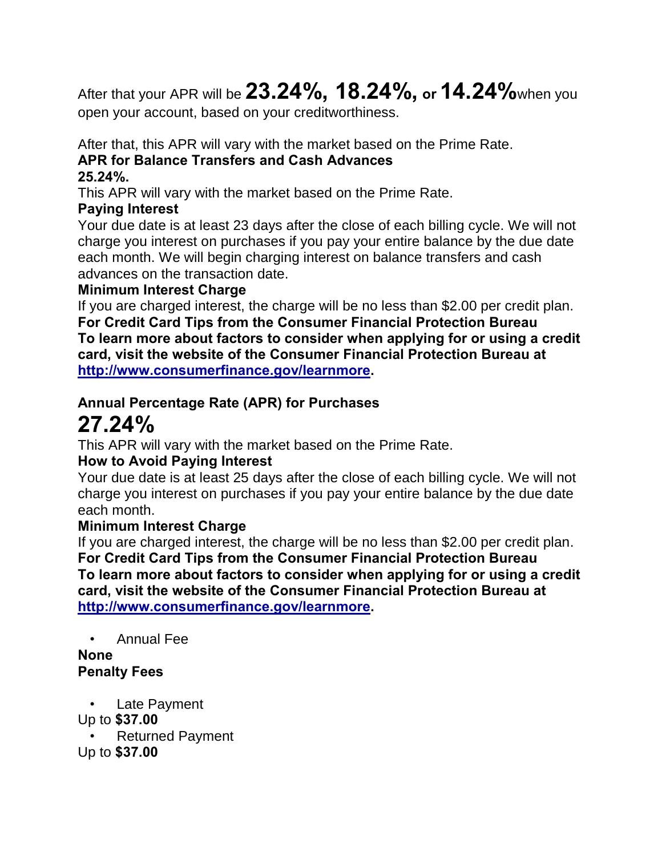# After that your APR will be **23.24%, 18.24%, or 14.24%**when you

open your account, based on your creditworthiness.

After that, this APR will vary with the market based on the Prime Rate.

### **APR for Balance Transfers and Cash Advances**

#### **25.24%.**

This APR will vary with the market based on the Prime Rate.

#### **Paying Interest**

Your due date is at least 23 days after the close of each billing cycle. We will not charge you interest on purchases if you pay your entire balance by the due date each month. We will begin charging interest on balance transfers and cash advances on the transaction date.

#### **Minimum Interest Charge**

If you are charged interest, the charge will be no less than \$2.00 per credit plan. **For Credit Card Tips from the Consumer Financial Protection Bureau To learn more about factors to consider when applying for or using a credit card, visit the website of the Consumer Financial Protection Bureau at [http://www.consumerfinance.gov/learnmore.](http://www.consumerfinance.gov/learnmore)**

#### **Annual Percentage Rate (APR) for Purchases**

# **27.24%**

This APR will vary with the market based on the Prime Rate.

#### **How to Avoid Paying Interest**

Your due date is at least 25 days after the close of each billing cycle. We will not charge you interest on purchases if you pay your entire balance by the due date each month.

#### **Minimum Interest Charge**

If you are charged interest, the charge will be no less than \$2.00 per credit plan. **For Credit Card Tips from the Consumer Financial Protection Bureau To learn more about factors to consider when applying for or using a credit card, visit the website of the Consumer Financial Protection Bureau at [http://www.consumerfinance.gov/learnmore.](http://www.consumerfinance.gov/learnmore)**

#### • Annual Fee

#### **None Penalty Fees**

- Late Payment
- Up to **\$37.00**
	- Returned Payment

Up to **\$37.00**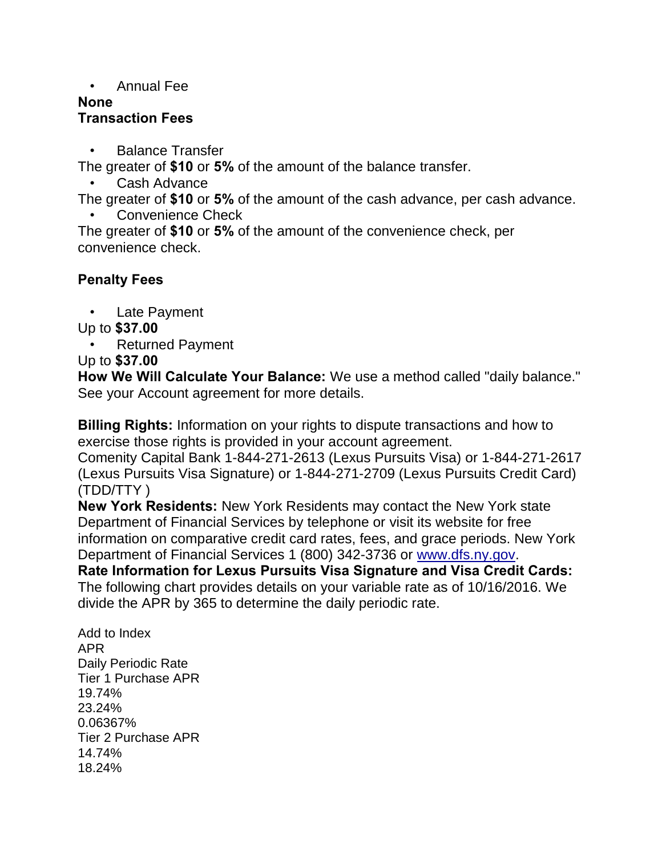• Annual Fee

#### **None Transaction Fees**

• Balance Transfer

The greater of **\$10** or **5%** of the amount of the balance transfer.

• Cash Advance

The greater of **\$10** or **5%** of the amount of the cash advance, per cash advance.

Convenience Check

The greater of **\$10** or **5%** of the amount of the convenience check, per convenience check.

#### **Penalty Fees**

Late Payment

Up to **\$37.00**

• Returned Payment

Up to **\$37.00**

**How We Will Calculate Your Balance:** We use a method called "daily balance." See your Account agreement for more details.

**Billing Rights:** Information on your rights to dispute transactions and how to exercise those rights is provided in your account agreement.

Comenity Capital Bank 1-844-271-2613 (Lexus Pursuits Visa) or 1-844-271-2617 (Lexus Pursuits Visa Signature) or 1-844-271-2709 (Lexus Pursuits Credit Card) (TDD/TTY )

**New York Residents:** New York Residents may contact the New York state Department of Financial Services by telephone or visit its website for free information on comparative credit card rates, fees, and grace periods. New York Department of Financial Services 1 (800) 342-3736 or [www.dfs.ny.gov.](http://www.dfs.ny.gov/)

**Rate Information for Lexus Pursuits Visa Signature and Visa Credit Cards:** The following chart provides details on your variable rate as of 10/16/2016. We divide the APR by 365 to determine the daily periodic rate.

Add to Index APR Daily Periodic Rate Tier 1 Purchase APR 19.74% 23.24% 0.06367% Tier 2 Purchase APR 14.74% 18.24%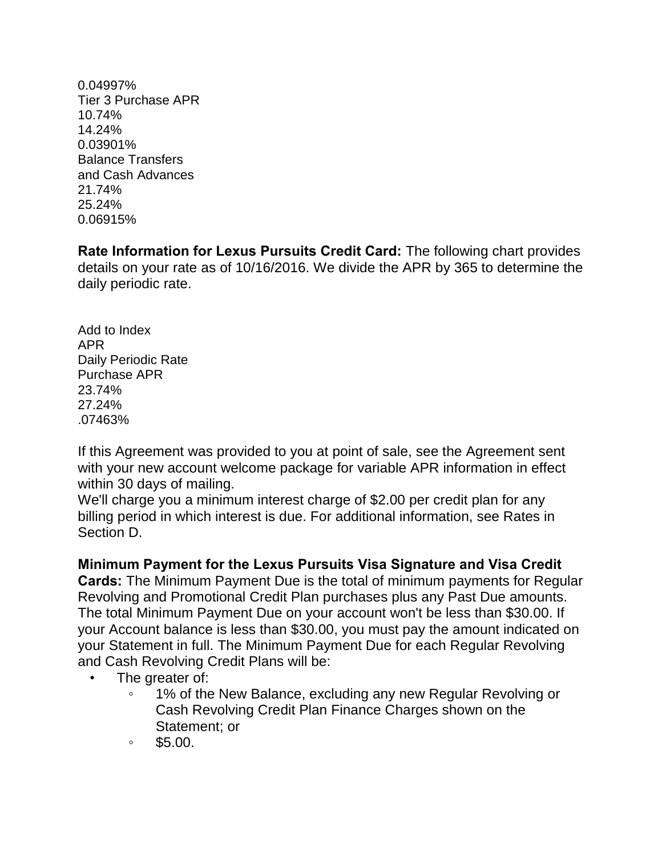0.04997% Tier 3 Purchase APR 10.74% 14.24% 0.03901% Balance Transfers and Cash Advances 21.74% 25.24% 0.06915%

**Rate Information for Lexus Pursuits Credit Card:** The following chart provides details on your rate as of 10/16/2016. We divide the APR by 365 to determine the daily periodic rate.

Add to Index APR Daily Periodic Rate Purchase APR 23.74% 27.24% .07463%

If this Agreement was provided to you at point of sale, see the Agreement sent with your new account welcome package for variable APR information in effect within 30 days of mailing.

We'll charge you a minimum interest charge of \$2.00 per credit plan for any billing period in which interest is due. For additional information, see Rates in Section D.

#### **Minimum Payment for the Lexus Pursuits Visa Signature and Visa Credit**

**Cards:** The Minimum Payment Due is the total of minimum payments for Regular Revolving and Promotional Credit Plan purchases plus any Past Due amounts. The total Minimum Payment Due on your account won't be less than \$30.00. If your Account balance is less than \$30.00, you must pay the amount indicated on your Statement in full. The Minimum Payment Due for each Regular Revolving and Cash Revolving Credit Plans will be:

- The greater of:
	- 1% of the New Balance, excluding any new Regular Revolving or Cash Revolving Credit Plan Finance Charges shown on the Statement; or
	- \$5.00.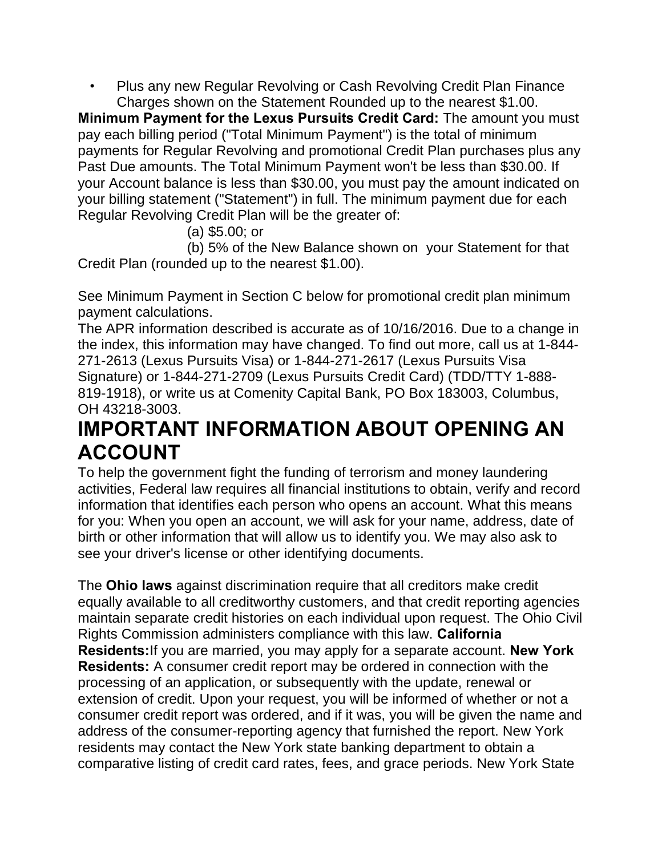• Plus any new Regular Revolving or Cash Revolving Credit Plan Finance Charges shown on the Statement Rounded up to the nearest \$1.00.

**Minimum Payment for the Lexus Pursuits Credit Card:** The amount you must pay each billing period ("Total Minimum Payment") is the total of minimum payments for Regular Revolving and promotional Credit Plan purchases plus any Past Due amounts. The Total Minimum Payment won't be less than \$30.00. If your Account balance is less than \$30.00, you must pay the amount indicated on your billing statement ("Statement") in full. The minimum payment due for each Regular Revolving Credit Plan will be the greater of:

(a) \$5.00; or

 (b) 5% of the New Balance shown on your Statement for that Credit Plan (rounded up to the nearest \$1.00).

See Minimum Payment in Section C below for promotional credit plan minimum payment calculations.

The APR information described is accurate as of 10/16/2016. Due to a change in the index, this information may have changed. To find out more, call us at 1-844- 271-2613 (Lexus Pursuits Visa) or 1-844-271-2617 (Lexus Pursuits Visa Signature) or 1-844-271-2709 (Lexus Pursuits Credit Card) (TDD/TTY 1-888- 819-1918), or write us at Comenity Capital Bank, PO Box 183003, Columbus, OH 43218-3003.

# **IMPORTANT INFORMATION ABOUT OPENING AN ACCOUNT**

To help the government fight the funding of terrorism and money laundering activities, Federal law requires all financial institutions to obtain, verify and record information that identifies each person who opens an account. What this means for you: When you open an account, we will ask for your name, address, date of birth or other information that will allow us to identify you. We may also ask to see your driver's license or other identifying documents.

The **Ohio laws** against discrimination require that all creditors make credit equally available to all creditworthy customers, and that credit reporting agencies maintain separate credit histories on each individual upon request. The Ohio Civil Rights Commission administers compliance with this law. **California Residents:**If you are married, you may apply for a separate account. **New York Residents:** A consumer credit report may be ordered in connection with the processing of an application, or subsequently with the update, renewal or extension of credit. Upon your request, you will be informed of whether or not a consumer credit report was ordered, and if it was, you will be given the name and address of the consumer-reporting agency that furnished the report. New York residents may contact the New York state banking department to obtain a comparative listing of credit card rates, fees, and grace periods. New York State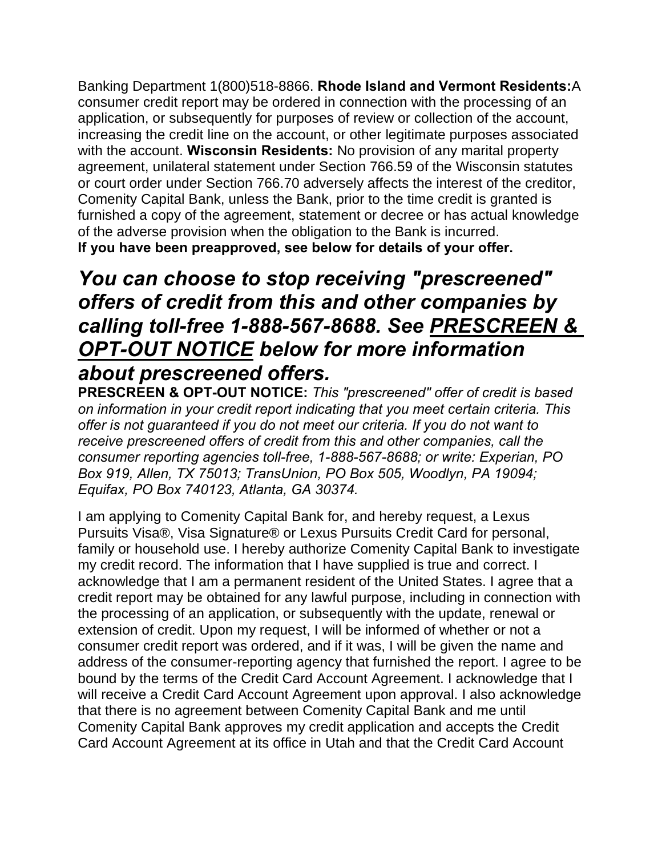Banking Department 1(800)518-8866. **Rhode Island and Vermont Residents:**A consumer credit report may be ordered in connection with the processing of an application, or subsequently for purposes of review or collection of the account, increasing the credit line on the account, or other legitimate purposes associated with the account. **Wisconsin Residents:** No provision of any marital property agreement, unilateral statement under Section 766.59 of the Wisconsin statutes or court order under Section 766.70 adversely affects the interest of the creditor, Comenity Capital Bank, unless the Bank, prior to the time credit is granted is furnished a copy of the agreement, statement or decree or has actual knowledge of the adverse provision when the obligation to the Bank is incurred. **If you have been preapproved, see below for details of your offer.**

# *You can choose to stop receiving "prescreened" offers of credit from this and other companies by calling toll-free 1-888-567-8688. See PRESCREEN & OPT-OUT NOTICE below for more information about prescreened offers.*

**PRESCREEN & OPT-OUT NOTICE:** *This "prescreened" offer of credit is based on information in your credit report indicating that you meet certain criteria. This offer is not guaranteed if you do not meet our criteria. If you do not want to receive prescreened offers of credit from this and other companies, call the consumer reporting agencies toll-free, 1-888-567-8688; or write: Experian, PO Box 919, Allen, TX 75013; TransUnion, PO Box 505, Woodlyn, PA 19094; Equifax, PO Box 740123, Atlanta, GA 30374.*

I am applying to Comenity Capital Bank for, and hereby request, a Lexus Pursuits Visa®, Visa Signature® or Lexus Pursuits Credit Card for personal, family or household use. I hereby authorize Comenity Capital Bank to investigate my credit record. The information that I have supplied is true and correct. I acknowledge that I am a permanent resident of the United States. I agree that a credit report may be obtained for any lawful purpose, including in connection with the processing of an application, or subsequently with the update, renewal or extension of credit. Upon my request, I will be informed of whether or not a consumer credit report was ordered, and if it was, I will be given the name and address of the consumer-reporting agency that furnished the report. I agree to be bound by the terms of the Credit Card Account Agreement. I acknowledge that I will receive a Credit Card Account Agreement upon approval. I also acknowledge that there is no agreement between Comenity Capital Bank and me until Comenity Capital Bank approves my credit application and accepts the Credit Card Account Agreement at its office in Utah and that the Credit Card Account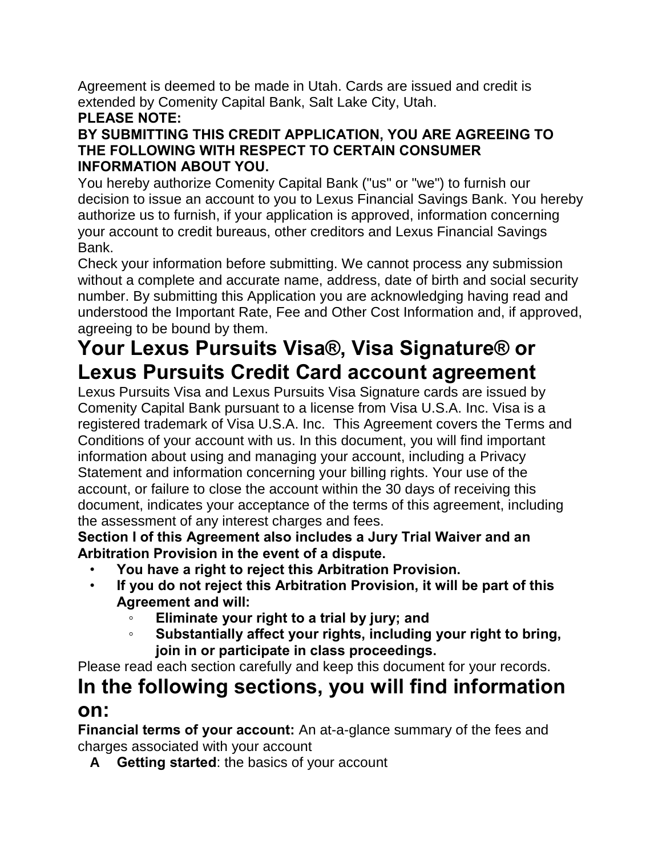Agreement is deemed to be made in Utah. Cards are issued and credit is extended by Comenity Capital Bank, Salt Lake City, Utah.

#### **PLEASE NOTE:**

#### **BY SUBMITTING THIS CREDIT APPLICATION, YOU ARE AGREEING TO THE FOLLOWING WITH RESPECT TO CERTAIN CONSUMER INFORMATION ABOUT YOU.**

You hereby authorize Comenity Capital Bank ("us" or "we") to furnish our decision to issue an account to you to Lexus Financial Savings Bank. You hereby authorize us to furnish, if your application is approved, information concerning your account to credit bureaus, other creditors and Lexus Financial Savings Bank.

Check your information before submitting. We cannot process any submission without a complete and accurate name, address, date of birth and social security number. By submitting this Application you are acknowledging having read and understood the Important Rate, Fee and Other Cost Information and, if approved, agreeing to be bound by them.

# **Your Lexus Pursuits Visa®, Visa Signature® or Lexus Pursuits Credit Card account agreement**

Lexus Pursuits Visa and Lexus Pursuits Visa Signature cards are issued by Comenity Capital Bank pursuant to a license from Visa U.S.A. Inc. Visa is a registered trademark of Visa U.S.A. Inc. This Agreement covers the Terms and Conditions of your account with us. In this document, you will find important information about using and managing your account, including a Privacy Statement and information concerning your billing rights. Your use of the account, or failure to close the account within the 30 days of receiving this document, indicates your acceptance of the terms of this agreement, including the assessment of any interest charges and fees.

**Section I of this Agreement also includes a Jury Trial Waiver and an Arbitration Provision in the event of a dispute.**

- **You have a right to reject this Arbitration Provision.**
- **If you do not reject this Arbitration Provision, it will be part of this Agreement and will:**
	- **Eliminate your right to a trial by jury; and**
	- **Substantially affect your rights, including your right to bring, join in or participate in class proceedings.**

Please read each section carefully and keep this document for your records.

# **In the following sections, you will find information on:**

**Financial terms of your account:** An at-a-glance summary of the fees and charges associated with your account

**A Getting started**: the basics of your account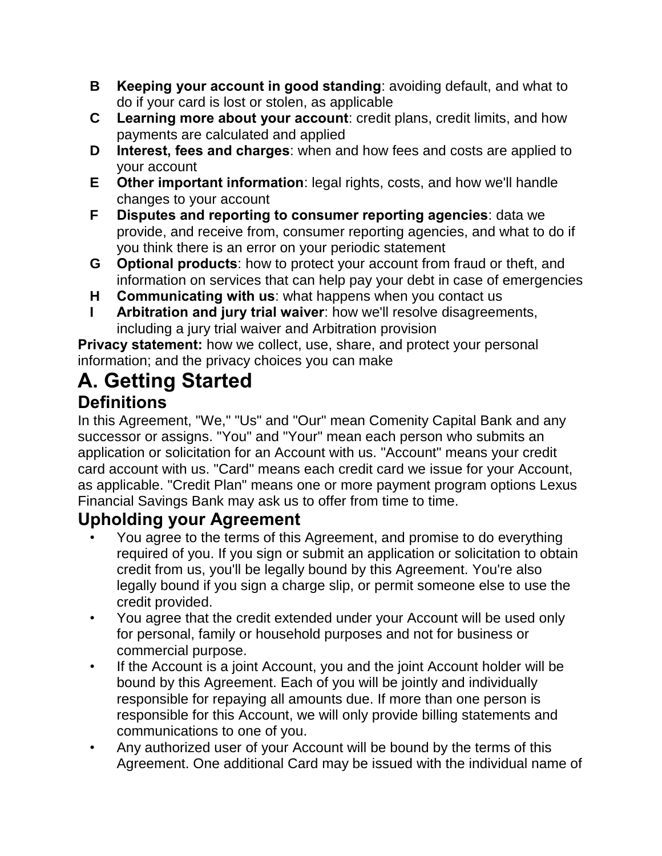- **B Keeping your account in good standing**: avoiding default, and what to do if your card is lost or stolen, as applicable
- **C Learning more about your account**: credit plans, credit limits, and how payments are calculated and applied
- **D Interest, fees and charges**: when and how fees and costs are applied to your account
- **E Other important information**: legal rights, costs, and how we'll handle changes to your account
- **F Disputes and reporting to consumer reporting agencies**: data we provide, and receive from, consumer reporting agencies, and what to do if you think there is an error on your periodic statement
- **G Optional products**: how to protect your account from fraud or theft, and information on services that can help pay your debt in case of emergencies
- **H Communicating with us**: what happens when you contact us
- **I Arbitration and jury trial waiver**: how we'll resolve disagreements, including a jury trial waiver and Arbitration provision

**Privacy statement:** how we collect, use, share, and protect your personal information; and the privacy choices you can make

# **A. Getting Started**

# **Definitions**

In this Agreement, "We," "Us" and "Our" mean Comenity Capital Bank and any successor or assigns. "You" and "Your" mean each person who submits an application or solicitation for an Account with us. "Account" means your credit card account with us. "Card" means each credit card we issue for your Account, as applicable. "Credit Plan" means one or more payment program options Lexus Financial Savings Bank may ask us to offer from time to time.

# **Upholding your Agreement**

- You agree to the terms of this Agreement, and promise to do everything required of you. If you sign or submit an application or solicitation to obtain credit from us, you'll be legally bound by this Agreement. You're also legally bound if you sign a charge slip, or permit someone else to use the credit provided.
- You agree that the credit extended under your Account will be used only for personal, family or household purposes and not for business or commercial purpose.
- If the Account is a joint Account, you and the joint Account holder will be bound by this Agreement. Each of you will be jointly and individually responsible for repaying all amounts due. If more than one person is responsible for this Account, we will only provide billing statements and communications to one of you.
- Any authorized user of your Account will be bound by the terms of this Agreement. One additional Card may be issued with the individual name of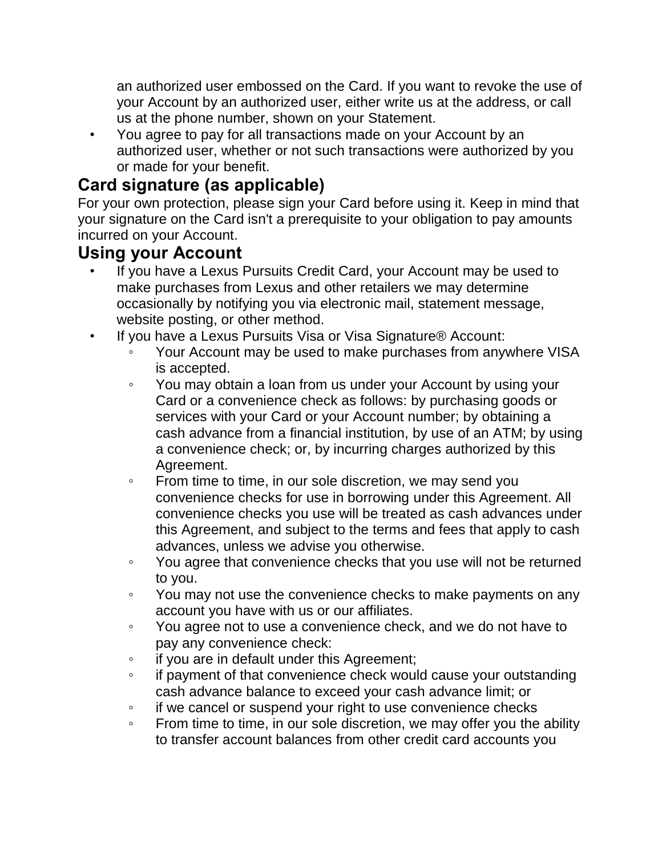an authorized user embossed on the Card. If you want to revoke the use of your Account by an authorized user, either write us at the address, or call us at the phone number, shown on your Statement.

• You agree to pay for all transactions made on your Account by an authorized user, whether or not such transactions were authorized by you or made for your benefit.

## **Card signature (as applicable)**

For your own protection, please sign your Card before using it. Keep in mind that your signature on the Card isn't a prerequisite to your obligation to pay amounts incurred on your Account.

## **Using your Account**

- If you have a Lexus Pursuits Credit Card, your Account may be used to make purchases from Lexus and other retailers we may determine occasionally by notifying you via electronic mail, statement message, website posting, or other method.
- If you have a Lexus Pursuits Visa or Visa Signature® Account:
	- Your Account may be used to make purchases from anywhere VISA is accepted.
	- You may obtain a loan from us under your Account by using your Card or a convenience check as follows: by purchasing goods or services with your Card or your Account number; by obtaining a cash advance from a financial institution, by use of an ATM; by using a convenience check; or, by incurring charges authorized by this Agreement.
	- From time to time, in our sole discretion, we may send you convenience checks for use in borrowing under this Agreement. All convenience checks you use will be treated as cash advances under this Agreement, and subject to the terms and fees that apply to cash advances, unless we advise you otherwise.
	- You agree that convenience checks that you use will not be returned to you.
	- You may not use the convenience checks to make payments on any account you have with us or our affiliates.
	- You agree not to use a convenience check, and we do not have to pay any convenience check:
	- if you are in default under this Agreement;
	- if payment of that convenience check would cause your outstanding cash advance balance to exceed your cash advance limit; or
	- if we cancel or suspend your right to use convenience checks
	- From time to time, in our sole discretion, we may offer you the ability to transfer account balances from other credit card accounts you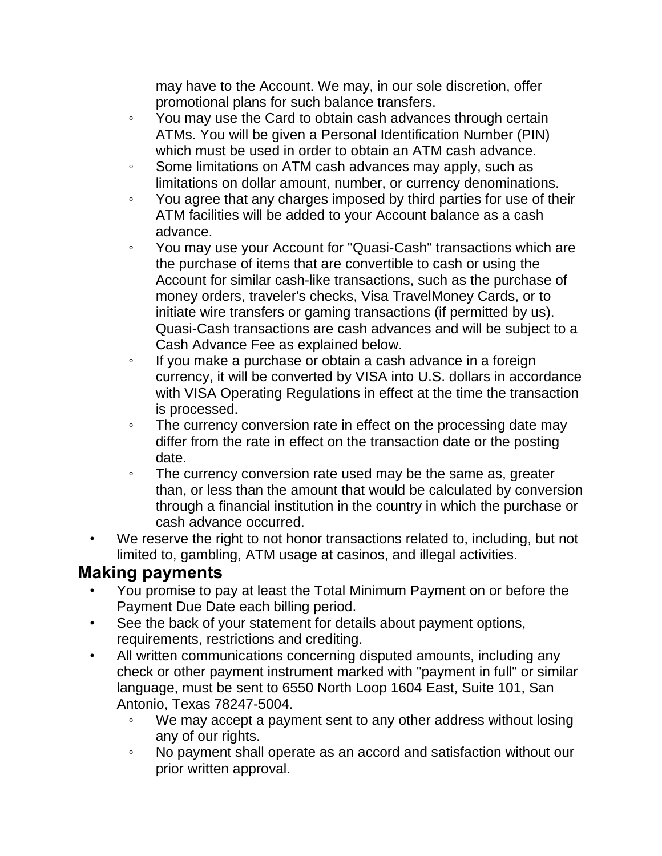may have to the Account. We may, in our sole discretion, offer promotional plans for such balance transfers.

- You may use the Card to obtain cash advances through certain ATMs. You will be given a Personal Identification Number (PIN) which must be used in order to obtain an ATM cash advance.
- Some limitations on ATM cash advances may apply, such as limitations on dollar amount, number, or currency denominations.
- You agree that any charges imposed by third parties for use of their ATM facilities will be added to your Account balance as a cash advance.
- You may use your Account for "Quasi-Cash" transactions which are the purchase of items that are convertible to cash or using the Account for similar cash-like transactions, such as the purchase of money orders, traveler's checks, Visa TravelMoney Cards, or to initiate wire transfers or gaming transactions (if permitted by us). Quasi-Cash transactions are cash advances and will be subject to a Cash Advance Fee as explained below.
- If you make a purchase or obtain a cash advance in a foreign currency, it will be converted by VISA into U.S. dollars in accordance with VISA Operating Regulations in effect at the time the transaction is processed.
- The currency conversion rate in effect on the processing date may differ from the rate in effect on the transaction date or the posting date.
- The currency conversion rate used may be the same as, greater than, or less than the amount that would be calculated by conversion through a financial institution in the country in which the purchase or cash advance occurred.
- We reserve the right to not honor transactions related to, including, but not limited to, gambling, ATM usage at casinos, and illegal activities.

### **Making payments**

- You promise to pay at least the Total Minimum Payment on or before the Payment Due Date each billing period.
- See the back of your statement for details about payment options, requirements, restrictions and crediting.
- All written communications concerning disputed amounts, including any check or other payment instrument marked with "payment in full" or similar language, must be sent to 6550 North Loop 1604 East, Suite 101, San Antonio, Texas 78247-5004.
	- We may accept a payment sent to any other address without losing any of our rights.
	- No payment shall operate as an accord and satisfaction without our prior written approval.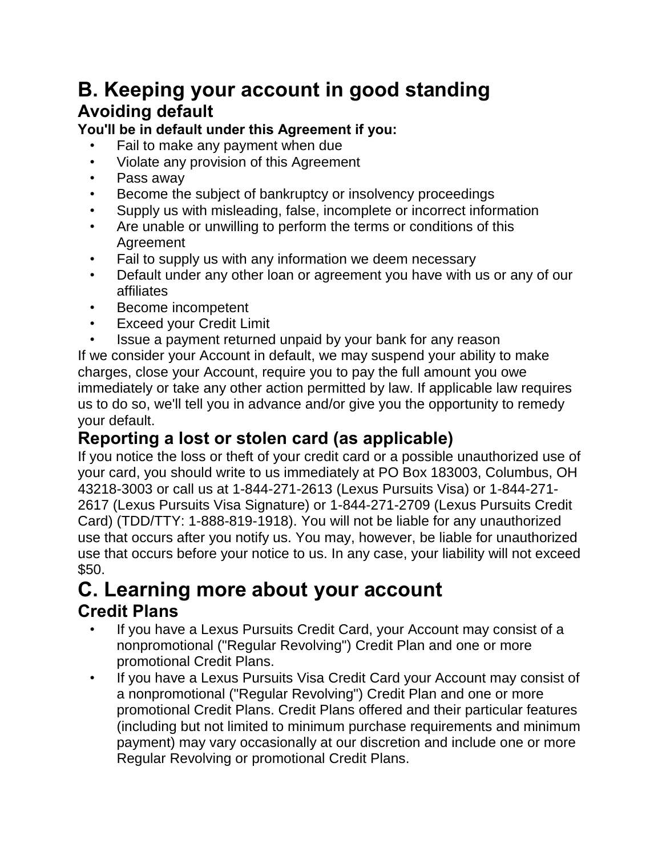# **B. Keeping your account in good standing Avoiding default**

**You'll be in default under this Agreement if you:**

- Fail to make any payment when due
- Violate any provision of this Agreement
- Pass away
- Become the subject of bankruptcy or insolvency proceedings
- Supply us with misleading, false, incomplete or incorrect information
- Are unable or unwilling to perform the terms or conditions of this Agreement
- Fail to supply us with any information we deem necessary
- Default under any other loan or agreement you have with us or any of our affiliates
- Become incompetent
- **Exceed your Credit Limit**
- Issue a payment returned unpaid by your bank for any reason

If we consider your Account in default, we may suspend your ability to make charges, close your Account, require you to pay the full amount you owe immediately or take any other action permitted by law. If applicable law requires us to do so, we'll tell you in advance and/or give you the opportunity to remedy your default.

## **Reporting a lost or stolen card (as applicable)**

If you notice the loss or theft of your credit card or a possible unauthorized use of your card, you should write to us immediately at PO Box 183003, Columbus, OH 43218-3003 or call us at 1-844-271-2613 (Lexus Pursuits Visa) or 1-844-271- 2617 (Lexus Pursuits Visa Signature) or 1-844-271-2709 (Lexus Pursuits Credit Card) (TDD/TTY: 1-888-819-1918). You will not be liable for any unauthorized use that occurs after you notify us. You may, however, be liable for unauthorized use that occurs before your notice to us. In any case, your liability will not exceed \$50.

# **C. Learning more about your account Credit Plans**

- If you have a Lexus Pursuits Credit Card, your Account may consist of a nonpromotional ("Regular Revolving") Credit Plan and one or more promotional Credit Plans.
- If you have a Lexus Pursuits Visa Credit Card your Account may consist of a nonpromotional ("Regular Revolving") Credit Plan and one or more promotional Credit Plans. Credit Plans offered and their particular features (including but not limited to minimum purchase requirements and minimum payment) may vary occasionally at our discretion and include one or more Regular Revolving or promotional Credit Plans.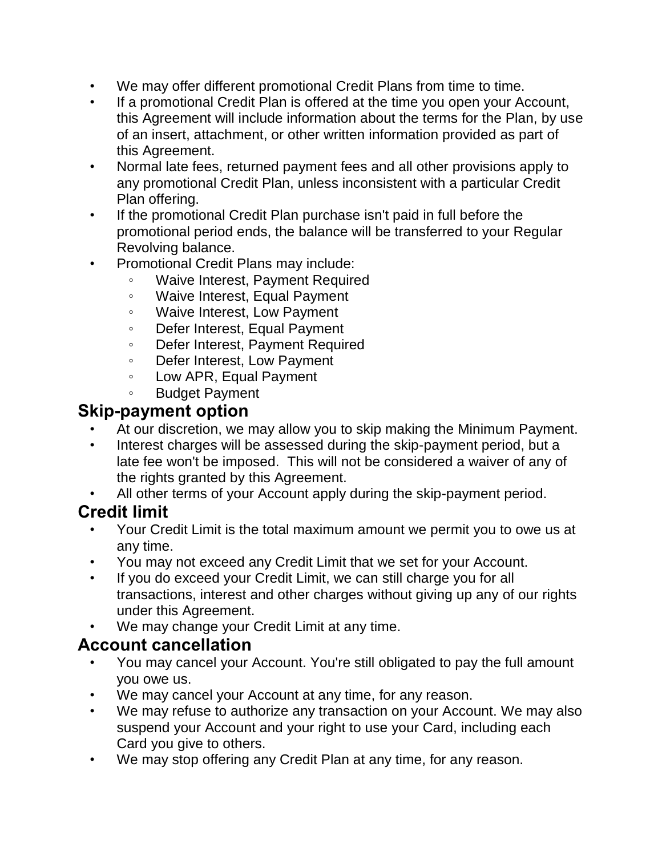- We may offer different promotional Credit Plans from time to time.
- If a promotional Credit Plan is offered at the time you open your Account, this Agreement will include information about the terms for the Plan, by use of an insert, attachment, or other written information provided as part of this Agreement.
- Normal late fees, returned payment fees and all other provisions apply to any promotional Credit Plan, unless inconsistent with a particular Credit Plan offering.
- If the promotional Credit Plan purchase isn't paid in full before the promotional period ends, the balance will be transferred to your Regular Revolving balance.
- Promotional Credit Plans may include:
	- Waive Interest, Payment Required
	- Waive Interest, Equal Payment
	- Waive Interest, Low Payment
	- Defer Interest, Equal Payment
	- Defer Interest, Payment Required
	- Defer Interest, Low Payment
	- Low APR, Equal Payment
	- Budget Payment

## **Skip-payment option**

- At our discretion, we may allow you to skip making the Minimum Payment.
- Interest charges will be assessed during the skip-payment period, but a late fee won't be imposed. This will not be considered a waiver of any of the rights granted by this Agreement.
- All other terms of your Account apply during the skip-payment period.

# **Credit limit**

- Your Credit Limit is the total maximum amount we permit you to owe us at any time.
- You may not exceed any Credit Limit that we set for your Account.
- If you do exceed your Credit Limit, we can still charge you for all transactions, interest and other charges without giving up any of our rights under this Agreement.
- We may change your Credit Limit at any time.

## **Account cancellation**

- You may cancel your Account. You're still obligated to pay the full amount you owe us.
- We may cancel your Account at any time, for any reason.
- We may refuse to authorize any transaction on your Account. We may also suspend your Account and your right to use your Card, including each Card you give to others.
- We may stop offering any Credit Plan at any time, for any reason.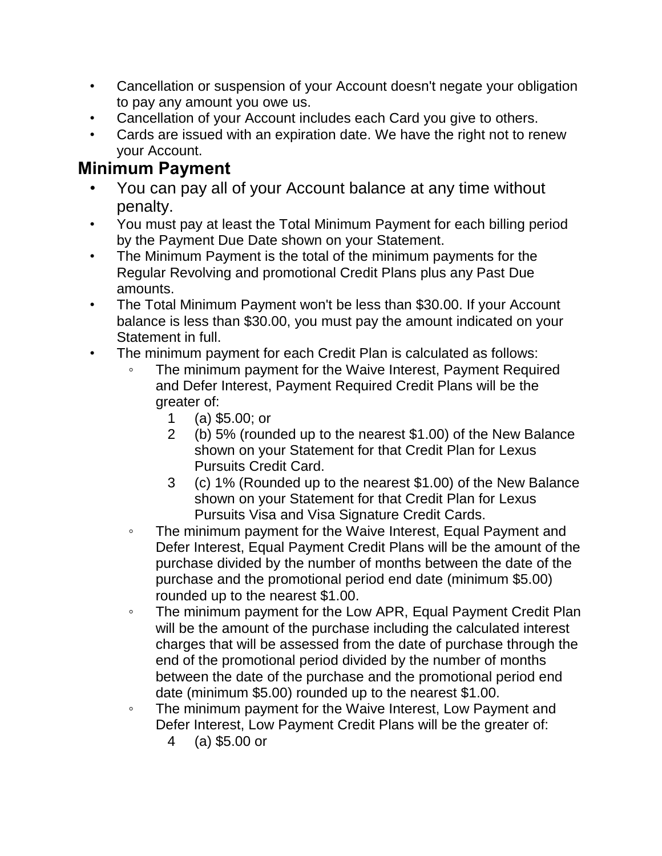- Cancellation or suspension of your Account doesn't negate your obligation to pay any amount you owe us.
- Cancellation of your Account includes each Card you give to others.
- Cards are issued with an expiration date. We have the right not to renew your Account.

## **Minimum Payment**

- You can pay all of your Account balance at any time without penalty.
- You must pay at least the Total Minimum Payment for each billing period by the Payment Due Date shown on your Statement.
- The Minimum Payment is the total of the minimum payments for the Regular Revolving and promotional Credit Plans plus any Past Due amounts.
- The Total Minimum Payment won't be less than \$30.00. If your Account balance is less than \$30.00, you must pay the amount indicated on your Statement in full.
- The minimum payment for each Credit Plan is calculated as follows:
	- The minimum payment for the Waive Interest, Payment Required and Defer Interest, Payment Required Credit Plans will be the greater of:
		- 1 (a) \$5.00; or
		- 2 (b) 5% (rounded up to the nearest \$1.00) of the New Balance shown on your Statement for that Credit Plan for Lexus Pursuits Credit Card.
		- 3 (c) 1% (Rounded up to the nearest \$1.00) of the New Balance shown on your Statement for that Credit Plan for Lexus Pursuits Visa and Visa Signature Credit Cards.
	- The minimum payment for the Waive Interest, Equal Payment and Defer Interest, Equal Payment Credit Plans will be the amount of the purchase divided by the number of months between the date of the purchase and the promotional period end date (minimum \$5.00) rounded up to the nearest \$1.00.
	- The minimum payment for the Low APR, Equal Payment Credit Plan will be the amount of the purchase including the calculated interest charges that will be assessed from the date of purchase through the end of the promotional period divided by the number of months between the date of the purchase and the promotional period end date (minimum \$5.00) rounded up to the nearest \$1.00.
	- The minimum payment for the Waive Interest, Low Payment and Defer Interest, Low Payment Credit Plans will be the greater of:
		- 4 (a) \$5.00 or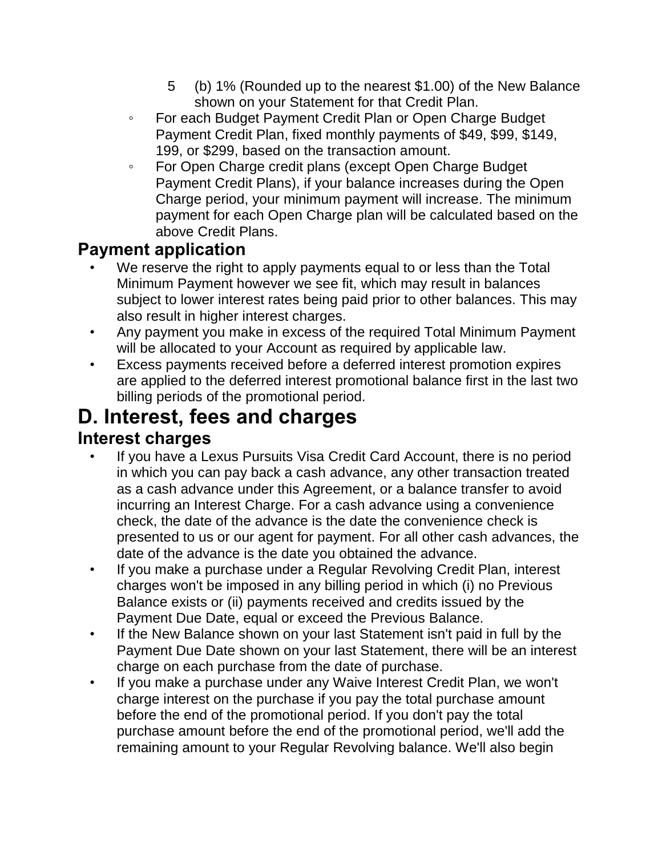- 5 (b) 1% (Rounded up to the nearest \$1.00) of the New Balance shown on your Statement for that Credit Plan.
- For each Budget Payment Credit Plan or Open Charge Budget Payment Credit Plan, fixed monthly payments of \$49, \$99, \$149, 199, or \$299, based on the transaction amount.
- For Open Charge credit plans (except Open Charge Budget Payment Credit Plans), if your balance increases during the Open Charge period, your minimum payment will increase. The minimum payment for each Open Charge plan will be calculated based on the above Credit Plans.

## **Payment application**

- We reserve the right to apply payments equal to or less than the Total Minimum Payment however we see fit, which may result in balances subject to lower interest rates being paid prior to other balances. This may also result in higher interest charges.
- Any payment you make in excess of the required Total Minimum Payment will be allocated to your Account as required by applicable law.
- Excess payments received before a deferred interest promotion expires are applied to the deferred interest promotional balance first in the last two billing periods of the promotional period.

# **D. Interest, fees and charges Interest charges**

- If you have a Lexus Pursuits Visa Credit Card Account, there is no period in which you can pay back a cash advance, any other transaction treated as a cash advance under this Agreement, or a balance transfer to avoid incurring an Interest Charge. For a cash advance using a convenience check, the date of the advance is the date the convenience check is presented to us or our agent for payment. For all other cash advances, the date of the advance is the date you obtained the advance.
- If you make a purchase under a Regular Revolving Credit Plan, interest charges won't be imposed in any billing period in which (i) no Previous Balance exists or (ii) payments received and credits issued by the Payment Due Date, equal or exceed the Previous Balance.
- If the New Balance shown on your last Statement isn't paid in full by the Payment Due Date shown on your last Statement, there will be an interest charge on each purchase from the date of purchase.
- If you make a purchase under any Waive Interest Credit Plan, we won't charge interest on the purchase if you pay the total purchase amount before the end of the promotional period. If you don't pay the total purchase amount before the end of the promotional period, we'll add the remaining amount to your Regular Revolving balance. We'll also begin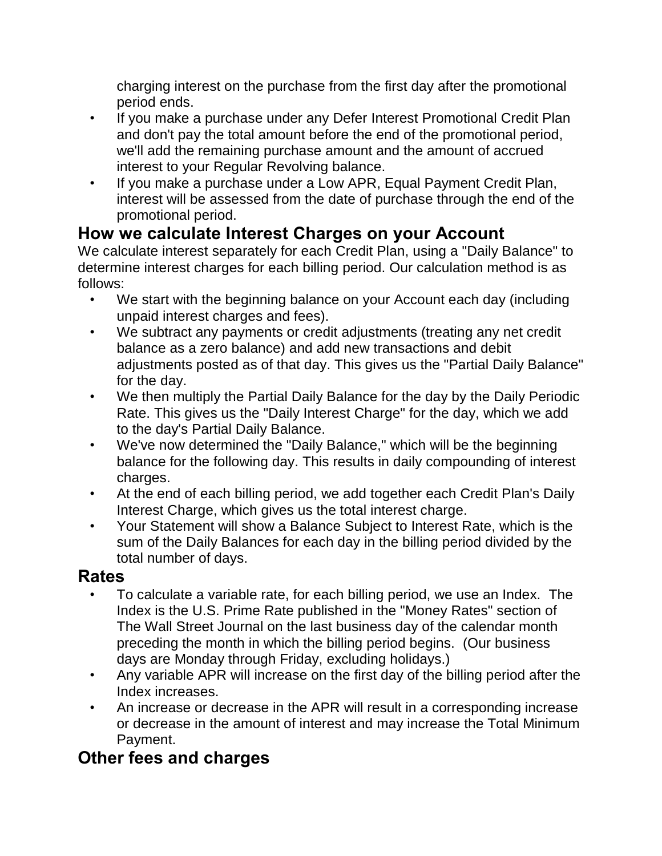charging interest on the purchase from the first day after the promotional period ends.

- If you make a purchase under any Defer Interest Promotional Credit Plan and don't pay the total amount before the end of the promotional period, we'll add the remaining purchase amount and the amount of accrued interest to your Regular Revolving balance.
- If you make a purchase under a Low APR, Equal Payment Credit Plan, interest will be assessed from the date of purchase through the end of the promotional period.

## **How we calculate Interest Charges on your Account**

We calculate interest separately for each Credit Plan, using a "Daily Balance" to determine interest charges for each billing period. Our calculation method is as follows:

- We start with the beginning balance on your Account each day (including unpaid interest charges and fees).
- We subtract any payments or credit adjustments (treating any net credit balance as a zero balance) and add new transactions and debit adjustments posted as of that day. This gives us the "Partial Daily Balance" for the day.
- We then multiply the Partial Daily Balance for the day by the Daily Periodic Rate. This gives us the "Daily Interest Charge" for the day, which we add to the day's Partial Daily Balance.
- We've now determined the "Daily Balance," which will be the beginning balance for the following day. This results in daily compounding of interest charges.
- At the end of each billing period, we add together each Credit Plan's Daily Interest Charge, which gives us the total interest charge.
- Your Statement will show a Balance Subject to Interest Rate, which is the sum of the Daily Balances for each day in the billing period divided by the total number of days.

## **Rates**

- To calculate a variable rate, for each billing period, we use an Index. The Index is the U.S. Prime Rate published in the "Money Rates" section of The Wall Street Journal on the last business day of the calendar month preceding the month in which the billing period begins. (Our business days are Monday through Friday, excluding holidays.)
- Any variable APR will increase on the first day of the billing period after the Index increases.
- An increase or decrease in the APR will result in a corresponding increase or decrease in the amount of interest and may increase the Total Minimum Payment.

# **Other fees and charges**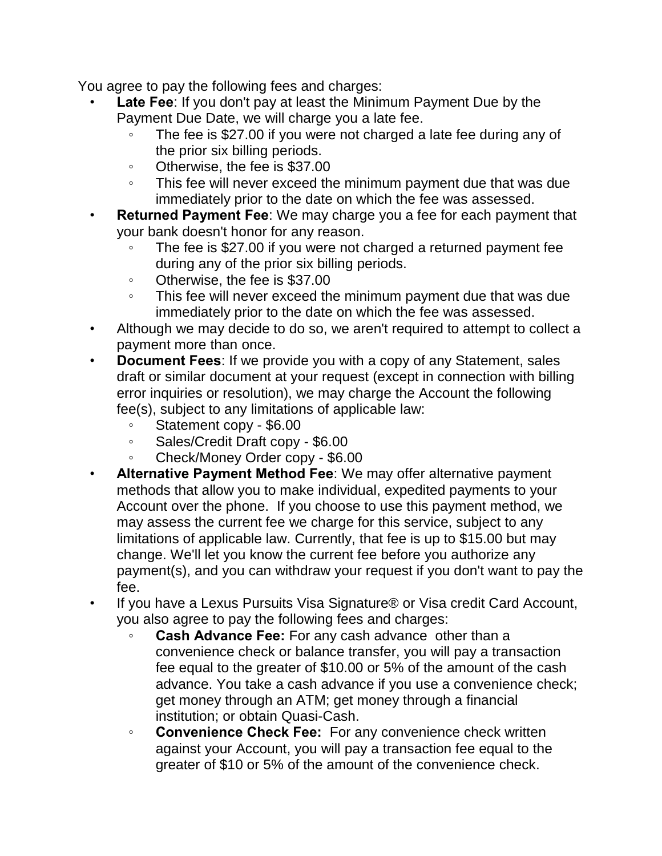You agree to pay the following fees and charges:

- **Late Fee:** If you don't pay at least the Minimum Payment Due by the Payment Due Date, we will charge you a late fee.
	- The fee is \$27.00 if you were not charged a late fee during any of the prior six billing periods.
	- Otherwise, the fee is \$37.00
	- This fee will never exceed the minimum payment due that was due immediately prior to the date on which the fee was assessed.
- **Returned Payment Fee**: We may charge you a fee for each payment that your bank doesn't honor for any reason.
	- The fee is \$27.00 if you were not charged a returned payment fee during any of the prior six billing periods.
	- Otherwise, the fee is \$37.00
	- This fee will never exceed the minimum payment due that was due immediately prior to the date on which the fee was assessed.
- Although we may decide to do so, we aren't required to attempt to collect a payment more than once.
- **Document Fees**: If we provide you with a copy of any Statement, sales draft or similar document at your request (except in connection with billing error inquiries or resolution), we may charge the Account the following fee(s), subject to any limitations of applicable law:
	- Statement copy \$6.00
	- Sales/Credit Draft copy \$6.00
	- Check/Money Order copy \$6.00
- **Alternative Payment Method Fee**: We may offer alternative payment methods that allow you to make individual, expedited payments to your Account over the phone. If you choose to use this payment method, we may assess the current fee we charge for this service, subject to any limitations of applicable law. Currently, that fee is up to \$15.00 but may change. We'll let you know the current fee before you authorize any payment(s), and you can withdraw your request if you don't want to pay the fee.
- If you have a Lexus Pursuits Visa Signature® or Visa credit Card Account, you also agree to pay the following fees and charges:
	- **Cash Advance Fee:** For any cash advance other than a convenience check or balance transfer, you will pay a transaction fee equal to the greater of \$10.00 or 5% of the amount of the cash advance. You take a cash advance if you use a convenience check; get money through an ATM; get money through a financial institution; or obtain Quasi-Cash.
	- **Convenience Check Fee:** For any convenience check written against your Account, you will pay a transaction fee equal to the greater of \$10 or 5% of the amount of the convenience check.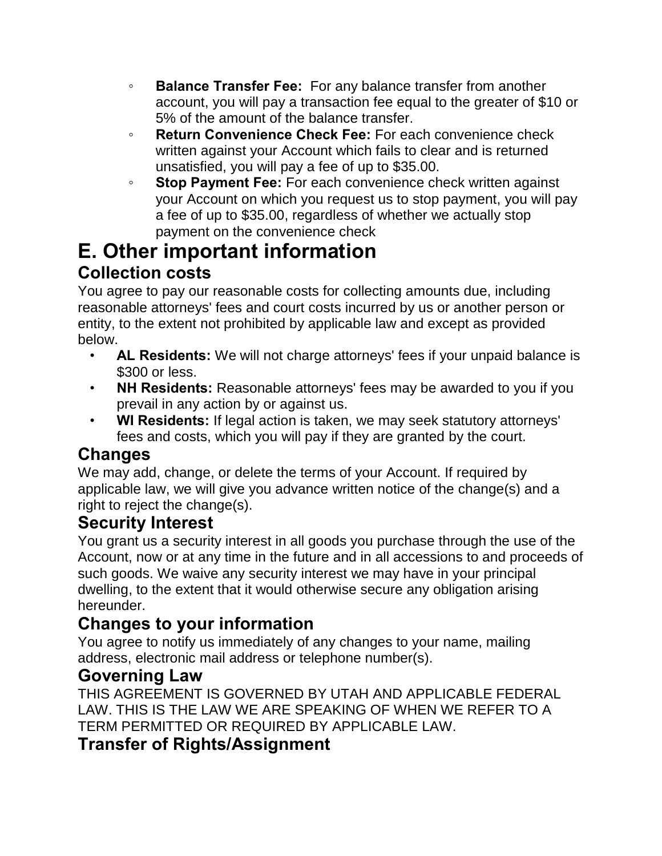- **Balance Transfer Fee:** For any balance transfer from another account, you will pay a transaction fee equal to the greater of \$10 or 5% of the amount of the balance transfer.
- **Return Convenience Check Fee:** For each convenience check written against your Account which fails to clear and is returned unsatisfied, you will pay a fee of up to \$35.00.
- **Stop Payment Fee:** For each convenience check written against your Account on which you request us to stop payment, you will pay a fee of up to \$35.00, regardless of whether we actually stop payment on the convenience check

# **E. Other important information Collection costs**

You agree to pay our reasonable costs for collecting amounts due, including reasonable attorneys' fees and court costs incurred by us or another person or entity, to the extent not prohibited by applicable law and except as provided below.

- **AL Residents:** We will not charge attorneys' fees if your unpaid balance is \$300 or less.
- **NH Residents:** Reasonable attorneys' fees may be awarded to you if you prevail in any action by or against us.
- **WI Residents:** If legal action is taken, we may seek statutory attorneys' fees and costs, which you will pay if they are granted by the court.

## **Changes**

We may add, change, or delete the terms of your Account. If required by applicable law, we will give you advance written notice of the change(s) and a right to reject the change(s).

## **Security Interest**

You grant us a security interest in all goods you purchase through the use of the Account, now or at any time in the future and in all accessions to and proceeds of such goods. We waive any security interest we may have in your principal dwelling, to the extent that it would otherwise secure any obligation arising hereunder.

## **Changes to your information**

You agree to notify us immediately of any changes to your name, mailing address, electronic mail address or telephone number(s).

## **Governing Law**

THIS AGREEMENT IS GOVERNED BY UTAH AND APPLICABLE FEDERAL LAW. THIS IS THE LAW WE ARE SPEAKING OF WHEN WE REFER TO A TERM PERMITTED OR REQUIRED BY APPLICABLE LAW.

# **Transfer of Rights/Assignment**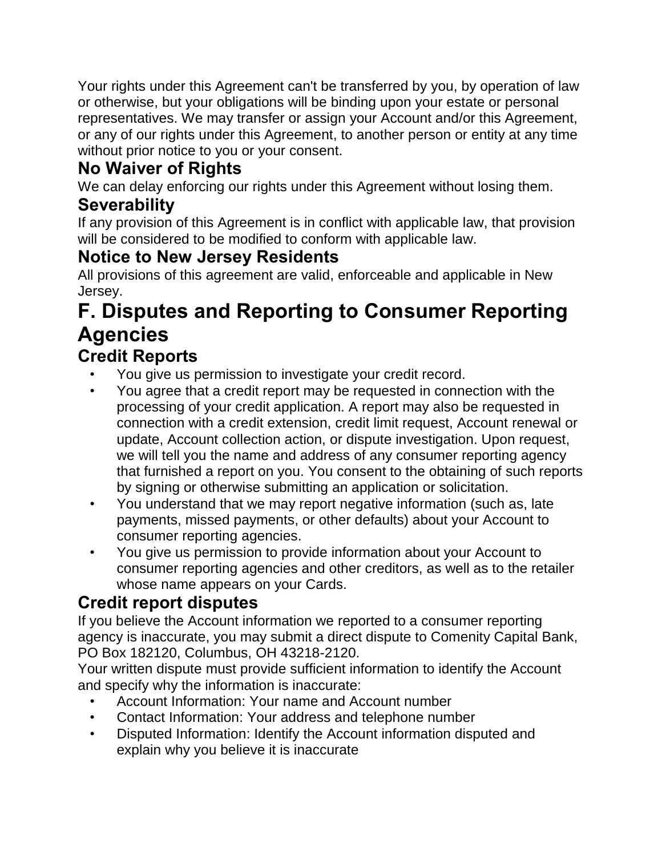Your rights under this Agreement can't be transferred by you, by operation of law or otherwise, but your obligations will be binding upon your estate or personal representatives. We may transfer or assign your Account and/or this Agreement, or any of our rights under this Agreement, to another person or entity at any time without prior notice to you or your consent.

## **No Waiver of Rights**

We can delay enforcing our rights under this Agreement without losing them.

## **Severability**

If any provision of this Agreement is in conflict with applicable law, that provision will be considered to be modified to conform with applicable law.

## **Notice to New Jersey Residents**

All provisions of this agreement are valid, enforceable and applicable in New Jersey.

# **F. Disputes and Reporting to Consumer Reporting Agencies**

## **Credit Reports**

- You give us permission to investigate your credit record.
- You agree that a credit report may be requested in connection with the processing of your credit application. A report may also be requested in connection with a credit extension, credit limit request, Account renewal or update, Account collection action, or dispute investigation. Upon request, we will tell you the name and address of any consumer reporting agency that furnished a report on you. You consent to the obtaining of such reports by signing or otherwise submitting an application or solicitation.
- You understand that we may report negative information (such as, late payments, missed payments, or other defaults) about your Account to consumer reporting agencies.
- You give us permission to provide information about your Account to consumer reporting agencies and other creditors, as well as to the retailer whose name appears on your Cards.

## **Credit report disputes**

If you believe the Account information we reported to a consumer reporting agency is inaccurate, you may submit a direct dispute to Comenity Capital Bank, PO Box 182120, Columbus, OH 43218-2120.

Your written dispute must provide sufficient information to identify the Account and specify why the information is inaccurate:

- Account Information: Your name and Account number
- Contact Information: Your address and telephone number
- Disputed Information: Identify the Account information disputed and explain why you believe it is inaccurate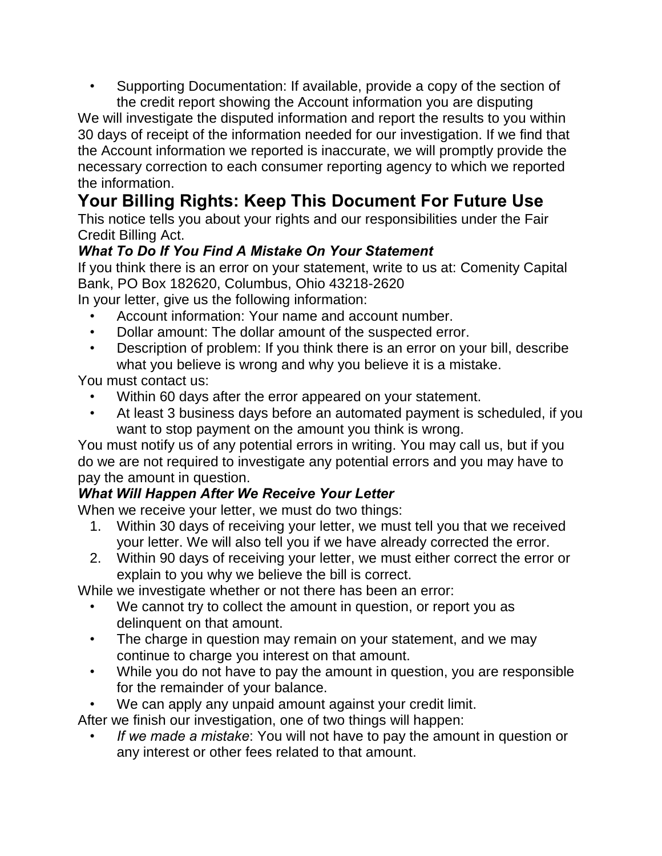• Supporting Documentation: If available, provide a copy of the section of the credit report showing the Account information you are disputing

We will investigate the disputed information and report the results to you within 30 days of receipt of the information needed for our investigation. If we find that the Account information we reported is inaccurate, we will promptly provide the necessary correction to each consumer reporting agency to which we reported the information.

# **Your Billing Rights: Keep This Document For Future Use**

This notice tells you about your rights and our responsibilities under the Fair Credit Billing Act.

#### *What To Do If You Find A Mistake On Your Statement*

If you think there is an error on your statement, write to us at: Comenity Capital Bank, PO Box 182620, Columbus, Ohio 43218-2620

In your letter, give us the following information:

- Account information: Your name and account number.
- Dollar amount: The dollar amount of the suspected error.
- Description of problem: If you think there is an error on your bill, describe what you believe is wrong and why you believe it is a mistake.

You must contact us:

- Within 60 days after the error appeared on your statement.
- At least 3 business days before an automated payment is scheduled, if you want to stop payment on the amount you think is wrong.

You must notify us of any potential errors in writing. You may call us, but if you do we are not required to investigate any potential errors and you may have to pay the amount in question.

#### *What Will Happen After We Receive Your Letter*

When we receive your letter, we must do two things:

- 1. Within 30 days of receiving your letter, we must tell you that we received your letter. We will also tell you if we have already corrected the error.
- 2. Within 90 days of receiving your letter, we must either correct the error or explain to you why we believe the bill is correct.

While we investigate whether or not there has been an error:

- We cannot try to collect the amount in question, or report you as delinquent on that amount.
- The charge in question may remain on your statement, and we may continue to charge you interest on that amount.
- While you do not have to pay the amount in question, you are responsible for the remainder of your balance.
- We can apply any unpaid amount against your credit limit.

After we finish our investigation, one of two things will happen:

• *If we made a mistake*: You will not have to pay the amount in question or any interest or other fees related to that amount.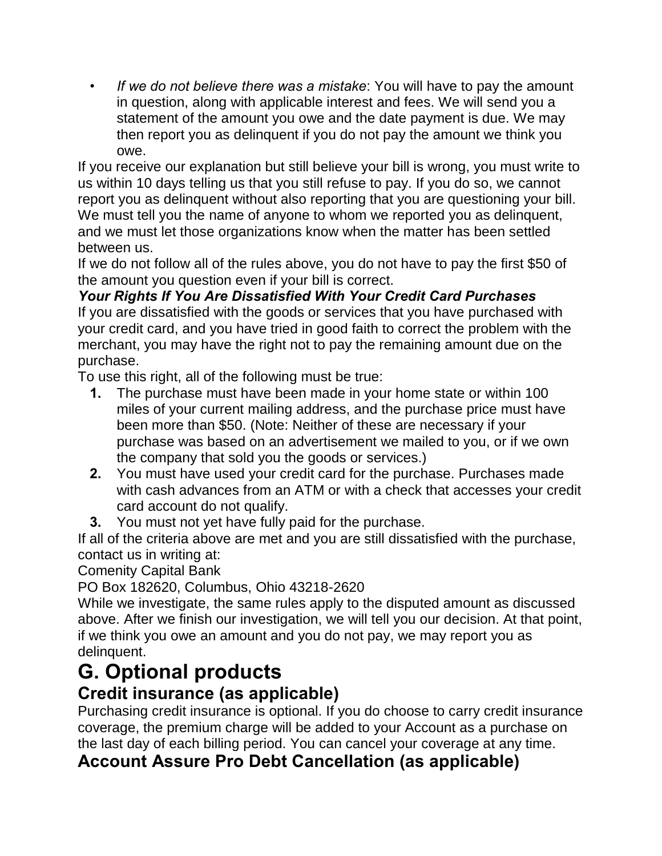• *If we do not believe there was a mistake*: You will have to pay the amount in question, along with applicable interest and fees. We will send you a statement of the amount you owe and the date payment is due. We may then report you as delinquent if you do not pay the amount we think you owe.

If you receive our explanation but still believe your bill is wrong, you must write to us within 10 days telling us that you still refuse to pay. If you do so, we cannot report you as delinquent without also reporting that you are questioning your bill. We must tell you the name of anyone to whom we reported you as delinquent, and we must let those organizations know when the matter has been settled between us.

If we do not follow all of the rules above, you do not have to pay the first \$50 of the amount you question even if your bill is correct.

*Your Rights If You Are Dissatisfied With Your Credit Card Purchases* If you are dissatisfied with the goods or services that you have purchased with your credit card, and you have tried in good faith to correct the problem with the merchant, you may have the right not to pay the remaining amount due on the purchase.

To use this right, all of the following must be true:

- **1.** The purchase must have been made in your home state or within 100 miles of your current mailing address, and the purchase price must have been more than \$50. (Note: Neither of these are necessary if your purchase was based on an advertisement we mailed to you, or if we own the company that sold you the goods or services.)
- **2.** You must have used your credit card for the purchase. Purchases made with cash advances from an ATM or with a check that accesses your credit card account do not qualify.
- **3.** You must not yet have fully paid for the purchase.

If all of the criteria above are met and you are still dissatisfied with the purchase, contact us in writing at:

#### Comenity Capital Bank

PO Box 182620, Columbus, Ohio 43218-2620

While we investigate, the same rules apply to the disputed amount as discussed above. After we finish our investigation, we will tell you our decision. At that point, if we think you owe an amount and you do not pay, we may report you as delinquent.

# **G. Optional products**

## **Credit insurance (as applicable)**

Purchasing credit insurance is optional. If you do choose to carry credit insurance coverage, the premium charge will be added to your Account as a purchase on the last day of each billing period. You can cancel your coverage at any time.

## **Account Assure Pro Debt Cancellation (as applicable)**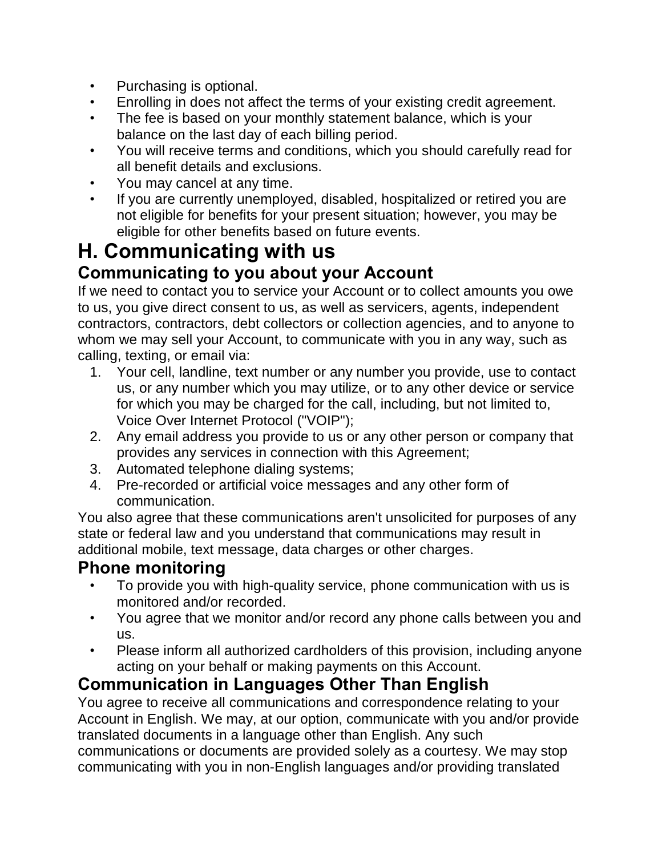- Purchasing is optional.
- Enrolling in does not affect the terms of your existing credit agreement.
- The fee is based on your monthly statement balance, which is your balance on the last day of each billing period.
- You will receive terms and conditions, which you should carefully read for all benefit details and exclusions.
- You may cancel at any time.
- If you are currently unemployed, disabled, hospitalized or retired you are not eligible for benefits for your present situation; however, you may be eligible for other benefits based on future events.

# **H. Communicating with us Communicating to you about your Account**

If we need to contact you to service your Account or to collect amounts you owe to us, you give direct consent to us, as well as servicers, agents, independent contractors, contractors, debt collectors or collection agencies, and to anyone to whom we may sell your Account, to communicate with you in any way, such as calling, texting, or email via:

- 1. Your cell, landline, text number or any number you provide, use to contact us, or any number which you may utilize, or to any other device or service for which you may be charged for the call, including, but not limited to, Voice Over Internet Protocol ("VOIP");
- 2. Any email address you provide to us or any other person or company that provides any services in connection with this Agreement;
- 3. Automated telephone dialing systems;
- 4. Pre-recorded or artificial voice messages and any other form of communication.

You also agree that these communications aren't unsolicited for purposes of any state or federal law and you understand that communications may result in additional mobile, text message, data charges or other charges.

### **Phone monitoring**

- To provide you with high-quality service, phone communication with us is monitored and/or recorded.
- You agree that we monitor and/or record any phone calls between you and us.
- Please inform all authorized cardholders of this provision, including anyone acting on your behalf or making payments on this Account.

## **Communication in Languages Other Than English**

You agree to receive all communications and correspondence relating to your Account in English. We may, at our option, communicate with you and/or provide translated documents in a language other than English. Any such communications or documents are provided solely as a courtesy. We may stop communicating with you in non-English languages and/or providing translated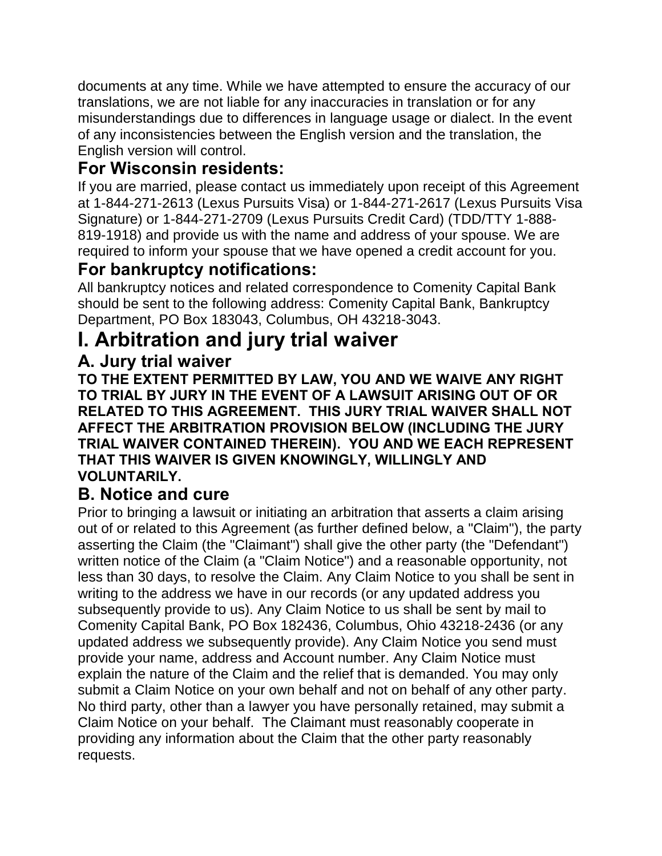documents at any time. While we have attempted to ensure the accuracy of our translations, we are not liable for any inaccuracies in translation or for any misunderstandings due to differences in language usage or dialect. In the event of any inconsistencies between the English version and the translation, the English version will control.

## **For Wisconsin residents:**

If you are married, please contact us immediately upon receipt of this Agreement at 1-844-271-2613 (Lexus Pursuits Visa) or 1-844-271-2617 (Lexus Pursuits Visa Signature) or 1-844-271-2709 (Lexus Pursuits Credit Card) (TDD/TTY 1-888- 819-1918) and provide us with the name and address of your spouse. We are required to inform your spouse that we have opened a credit account for you.

### **For bankruptcy notifications:**

All bankruptcy notices and related correspondence to Comenity Capital Bank should be sent to the following address: Comenity Capital Bank, Bankruptcy Department, PO Box 183043, Columbus, OH 43218-3043.

# **I. Arbitration and jury trial waiver**

## **A. Jury trial waiver**

**TO THE EXTENT PERMITTED BY LAW, YOU AND WE WAIVE ANY RIGHT TO TRIAL BY JURY IN THE EVENT OF A LAWSUIT ARISING OUT OF OR RELATED TO THIS AGREEMENT. THIS JURY TRIAL WAIVER SHALL NOT AFFECT THE ARBITRATION PROVISION BELOW (INCLUDING THE JURY TRIAL WAIVER CONTAINED THEREIN). YOU AND WE EACH REPRESENT THAT THIS WAIVER IS GIVEN KNOWINGLY, WILLINGLY AND VOLUNTARILY.**

### **B. Notice and cure**

Prior to bringing a lawsuit or initiating an arbitration that asserts a claim arising out of or related to this Agreement (as further defined below, a "Claim"), the party asserting the Claim (the "Claimant") shall give the other party (the "Defendant") written notice of the Claim (a "Claim Notice") and a reasonable opportunity, not less than 30 days, to resolve the Claim. Any Claim Notice to you shall be sent in writing to the address we have in our records (or any updated address you subsequently provide to us). Any Claim Notice to us shall be sent by mail to Comenity Capital Bank, PO Box 182436, Columbus, Ohio 43218-2436 (or any updated address we subsequently provide). Any Claim Notice you send must provide your name, address and Account number. Any Claim Notice must explain the nature of the Claim and the relief that is demanded. You may only submit a Claim Notice on your own behalf and not on behalf of any other party. No third party, other than a lawyer you have personally retained, may submit a Claim Notice on your behalf. The Claimant must reasonably cooperate in providing any information about the Claim that the other party reasonably requests.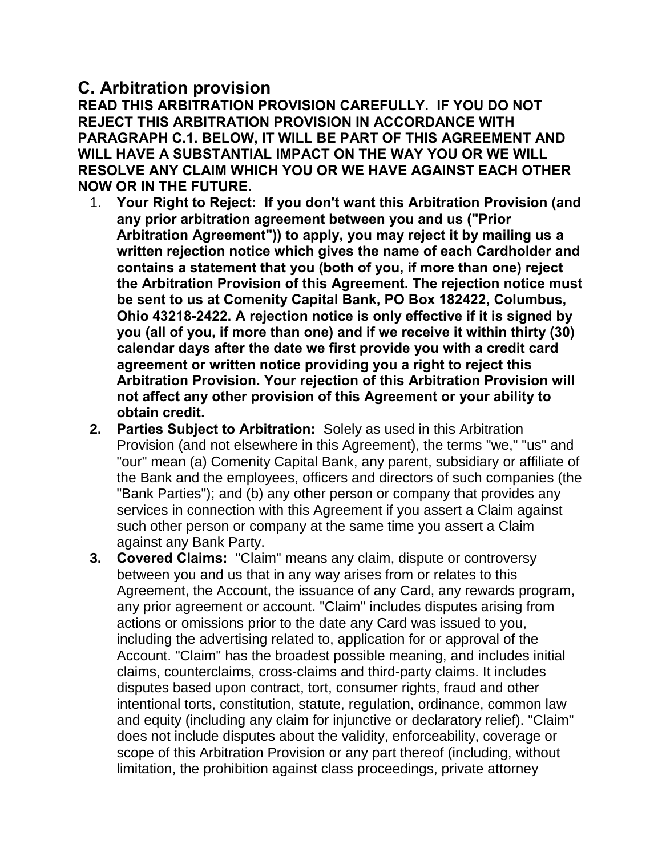### **C. Arbitration provision**

**READ THIS ARBITRATION PROVISION CAREFULLY. IF YOU DO NOT REJECT THIS ARBITRATION PROVISION IN ACCORDANCE WITH PARAGRAPH C.1. BELOW, IT WILL BE PART OF THIS AGREEMENT AND WILL HAVE A SUBSTANTIAL IMPACT ON THE WAY YOU OR WE WILL RESOLVE ANY CLAIM WHICH YOU OR WE HAVE AGAINST EACH OTHER NOW OR IN THE FUTURE.**

- 1. **Your Right to Reject: If you don't want this Arbitration Provision (and any prior arbitration agreement between you and us ("Prior Arbitration Agreement")) to apply, you may reject it by mailing us a written rejection notice which gives the name of each Cardholder and contains a statement that you (both of you, if more than one) reject the Arbitration Provision of this Agreement. The rejection notice must be sent to us at Comenity Capital Bank, PO Box 182422, Columbus, Ohio 43218-2422. A rejection notice is only effective if it is signed by you (all of you, if more than one) and if we receive it within thirty (30) calendar days after the date we first provide you with a credit card agreement or written notice providing you a right to reject this Arbitration Provision. Your rejection of this Arbitration Provision will not affect any other provision of this Agreement or your ability to obtain credit.**
- **2. Parties Subject to Arbitration:** Solely as used in this Arbitration Provision (and not elsewhere in this Agreement), the terms "we," "us" and "our" mean (a) Comenity Capital Bank, any parent, subsidiary or affiliate of the Bank and the employees, officers and directors of such companies (the "Bank Parties"); and (b) any other person or company that provides any services in connection with this Agreement if you assert a Claim against such other person or company at the same time you assert a Claim against any Bank Party.
- **3. Covered Claims:** "Claim" means any claim, dispute or controversy between you and us that in any way arises from or relates to this Agreement, the Account, the issuance of any Card, any rewards program, any prior agreement or account. "Claim" includes disputes arising from actions or omissions prior to the date any Card was issued to you, including the advertising related to, application for or approval of the Account. "Claim" has the broadest possible meaning, and includes initial claims, counterclaims, cross-claims and third-party claims. It includes disputes based upon contract, tort, consumer rights, fraud and other intentional torts, constitution, statute, regulation, ordinance, common law and equity (including any claim for injunctive or declaratory relief). "Claim" does not include disputes about the validity, enforceability, coverage or scope of this Arbitration Provision or any part thereof (including, without limitation, the prohibition against class proceedings, private attorney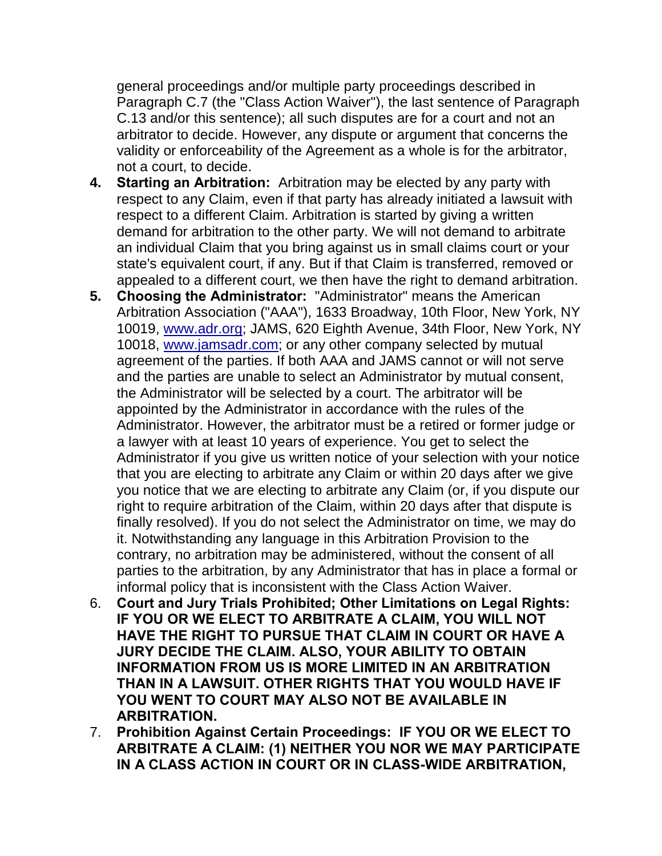general proceedings and/or multiple party proceedings described in Paragraph C.7 (the "Class Action Waiver"), the last sentence of Paragraph C.13 and/or this sentence); all such disputes are for a court and not an arbitrator to decide. However, any dispute or argument that concerns the validity or enforceability of the Agreement as a whole is for the arbitrator, not a court, to decide.

- **4. Starting an Arbitration:** Arbitration may be elected by any party with respect to any Claim, even if that party has already initiated a lawsuit with respect to a different Claim. Arbitration is started by giving a written demand for arbitration to the other party. We will not demand to arbitrate an individual Claim that you bring against us in small claims court or your state's equivalent court, if any. But if that Claim is transferred, removed or appealed to a different court, we then have the right to demand arbitration.
- **5. Choosing the Administrator:** "Administrator" means the American Arbitration Association ("AAA"), 1633 Broadway, 10th Floor, New York, NY 10019, [www.adr.org;](http://www.adr.org/) JAMS, 620 Eighth Avenue, 34th Floor, New York, NY 10018, [www.jamsadr.com;](http://www.jamsadr.com/) or any other company selected by mutual agreement of the parties. If both AAA and JAMS cannot or will not serve and the parties are unable to select an Administrator by mutual consent, the Administrator will be selected by a court. The arbitrator will be appointed by the Administrator in accordance with the rules of the Administrator. However, the arbitrator must be a retired or former judge or a lawyer with at least 10 years of experience. You get to select the Administrator if you give us written notice of your selection with your notice that you are electing to arbitrate any Claim or within 20 days after we give you notice that we are electing to arbitrate any Claim (or, if you dispute our right to require arbitration of the Claim, within 20 days after that dispute is finally resolved). If you do not select the Administrator on time, we may do it. Notwithstanding any language in this Arbitration Provision to the contrary, no arbitration may be administered, without the consent of all parties to the arbitration, by any Administrator that has in place a formal or informal policy that is inconsistent with the Class Action Waiver.
- 6. **Court and Jury Trials Prohibited; Other Limitations on Legal Rights: IF YOU OR WE ELECT TO ARBITRATE A CLAIM, YOU WILL NOT HAVE THE RIGHT TO PURSUE THAT CLAIM IN COURT OR HAVE A JURY DECIDE THE CLAIM. ALSO, YOUR ABILITY TO OBTAIN INFORMATION FROM US IS MORE LIMITED IN AN ARBITRATION THAN IN A LAWSUIT. OTHER RIGHTS THAT YOU WOULD HAVE IF YOU WENT TO COURT MAY ALSO NOT BE AVAILABLE IN ARBITRATION.**
- 7. **Prohibition Against Certain Proceedings: IF YOU OR WE ELECT TO ARBITRATE A CLAIM: (1) NEITHER YOU NOR WE MAY PARTICIPATE IN A CLASS ACTION IN COURT OR IN CLASS-WIDE ARBITRATION,**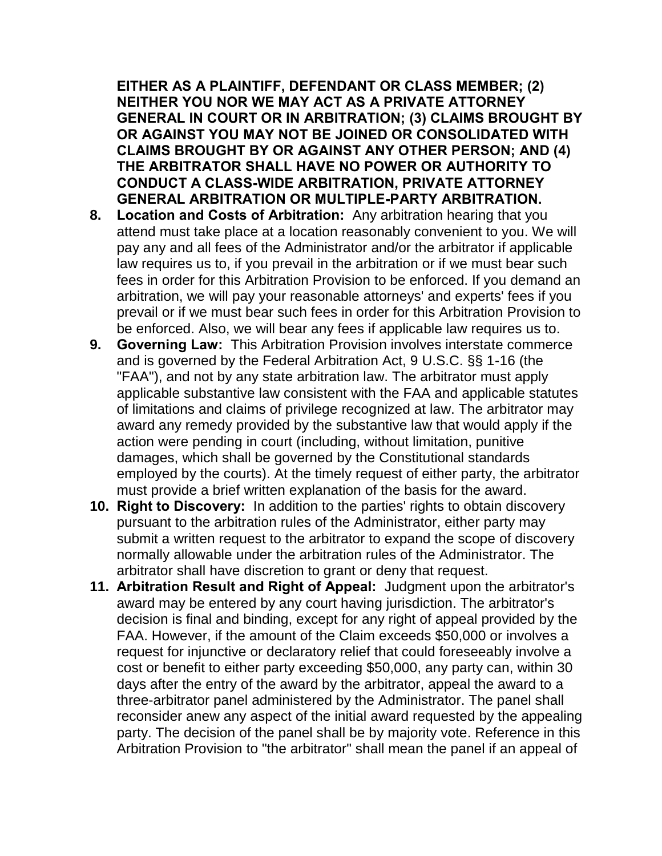**EITHER AS A PLAINTIFF, DEFENDANT OR CLASS MEMBER; (2) NEITHER YOU NOR WE MAY ACT AS A PRIVATE ATTORNEY GENERAL IN COURT OR IN ARBITRATION; (3) CLAIMS BROUGHT BY OR AGAINST YOU MAY NOT BE JOINED OR CONSOLIDATED WITH CLAIMS BROUGHT BY OR AGAINST ANY OTHER PERSON; AND (4) THE ARBITRATOR SHALL HAVE NO POWER OR AUTHORITY TO CONDUCT A CLASS-WIDE ARBITRATION, PRIVATE ATTORNEY GENERAL ARBITRATION OR MULTIPLE-PARTY ARBITRATION.**

- **8. Location and Costs of Arbitration:** Any arbitration hearing that you attend must take place at a location reasonably convenient to you. We will pay any and all fees of the Administrator and/or the arbitrator if applicable law requires us to, if you prevail in the arbitration or if we must bear such fees in order for this Arbitration Provision to be enforced. If you demand an arbitration, we will pay your reasonable attorneys' and experts' fees if you prevail or if we must bear such fees in order for this Arbitration Provision to be enforced. Also, we will bear any fees if applicable law requires us to.
- **9. Governing Law:** This Arbitration Provision involves interstate commerce and is governed by the Federal Arbitration Act, 9 U.S.C. §§ 1-16 (the "FAA"), and not by any state arbitration law. The arbitrator must apply applicable substantive law consistent with the FAA and applicable statutes of limitations and claims of privilege recognized at law. The arbitrator may award any remedy provided by the substantive law that would apply if the action were pending in court (including, without limitation, punitive damages, which shall be governed by the Constitutional standards employed by the courts). At the timely request of either party, the arbitrator must provide a brief written explanation of the basis for the award.
- **10. Right to Discovery:** In addition to the parties' rights to obtain discovery pursuant to the arbitration rules of the Administrator, either party may submit a written request to the arbitrator to expand the scope of discovery normally allowable under the arbitration rules of the Administrator. The arbitrator shall have discretion to grant or deny that request.
- **11. Arbitration Result and Right of Appeal:** Judgment upon the arbitrator's award may be entered by any court having jurisdiction. The arbitrator's decision is final and binding, except for any right of appeal provided by the FAA. However, if the amount of the Claim exceeds \$50,000 or involves a request for injunctive or declaratory relief that could foreseeably involve a cost or benefit to either party exceeding \$50,000, any party can, within 30 days after the entry of the award by the arbitrator, appeal the award to a three-arbitrator panel administered by the Administrator. The panel shall reconsider anew any aspect of the initial award requested by the appealing party. The decision of the panel shall be by majority vote. Reference in this Arbitration Provision to "the arbitrator" shall mean the panel if an appeal of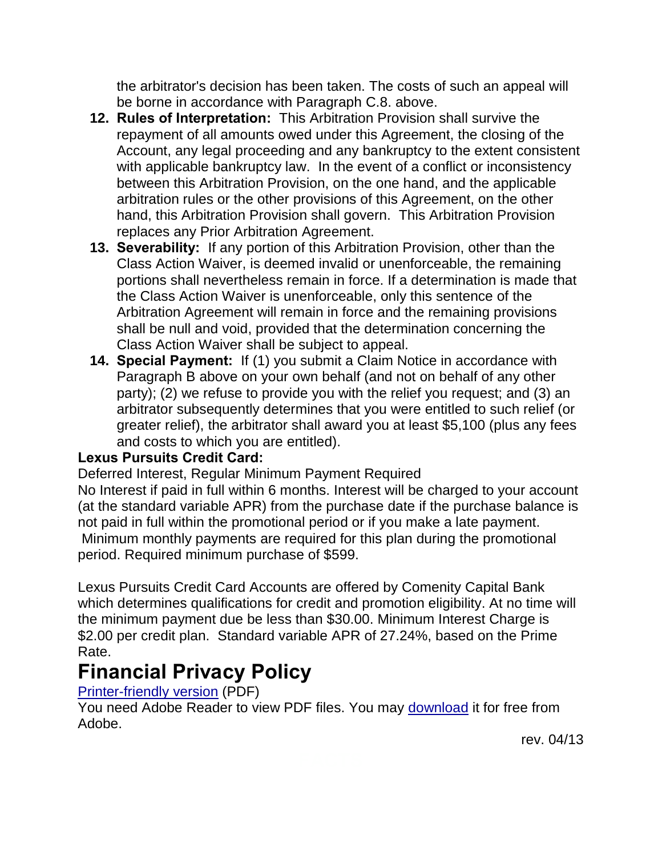the arbitrator's decision has been taken. The costs of such an appeal will be borne in accordance with Paragraph C.8. above.

- **12. Rules of Interpretation:** This Arbitration Provision shall survive the repayment of all amounts owed under this Agreement, the closing of the Account, any legal proceeding and any bankruptcy to the extent consistent with applicable bankruptcy law. In the event of a conflict or inconsistency between this Arbitration Provision, on the one hand, and the applicable arbitration rules or the other provisions of this Agreement, on the other hand, this Arbitration Provision shall govern. This Arbitration Provision replaces any Prior Arbitration Agreement.
- **13. Severability:** If any portion of this Arbitration Provision, other than the Class Action Waiver, is deemed invalid or unenforceable, the remaining portions shall nevertheless remain in force. If a determination is made that the Class Action Waiver is unenforceable, only this sentence of the Arbitration Agreement will remain in force and the remaining provisions shall be null and void, provided that the determination concerning the Class Action Waiver shall be subject to appeal.
- **14. Special Payment:** If (1) you submit a Claim Notice in accordance with Paragraph B above on your own behalf (and not on behalf of any other party); (2) we refuse to provide you with the relief you request; and (3) an arbitrator subsequently determines that you were entitled to such relief (or greater relief), the arbitrator shall award you at least \$5,100 (plus any fees and costs to which you are entitled).

#### **Lexus Pursuits Credit Card:**

Deferred Interest, Regular Minimum Payment Required

No Interest if paid in full within 6 months. Interest will be charged to your account (at the standard variable APR) from the purchase date if the purchase balance is not paid in full within the promotional period or if you make a late payment. Minimum monthly payments are required for this plan during the promotional period. Required minimum purchase of \$599.

Lexus Pursuits Credit Card Accounts are offered by Comenity Capital Bank which determines qualifications for credit and promotion eligibility. At no time will the minimum payment due be less than \$30.00. Minimum Interest Charge is \$2.00 per credit plan. Standard variable APR of 27.24%, based on the Prime Rate.

# **Financial Privacy Policy**

#### [Printer-friendly version](https://d.comenity.net/images/privacy.pdf) (PDF)

You need Adobe Reader to view PDF files. You may [download](http://www.adobe.com/) it for free from Adobe.

rev. 04/13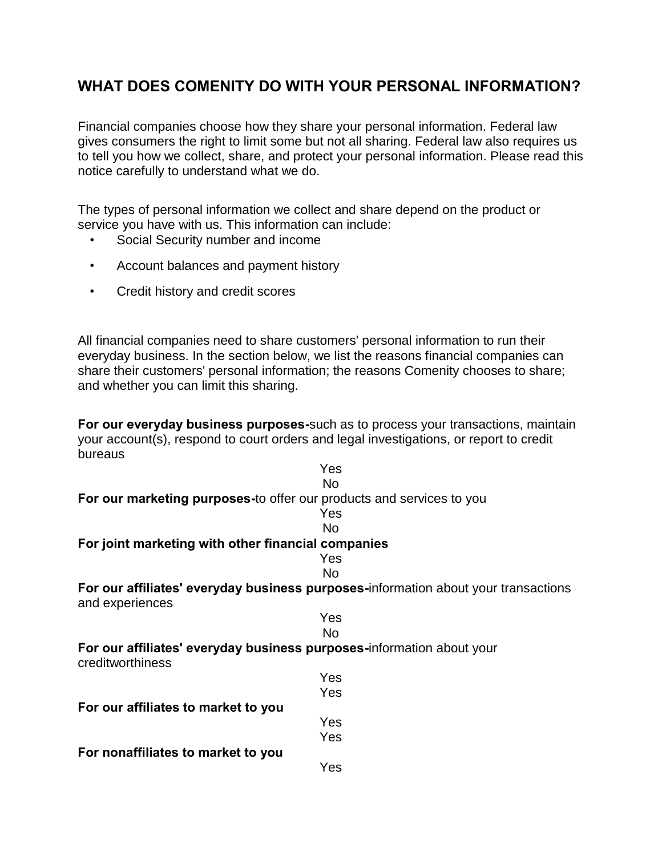#### **WHAT DOES COMENITY DO WITH YOUR PERSONAL INFORMATION?**

Financial companies choose how they share your personal information. Federal law gives consumers the right to limit some but not all sharing. Federal law also requires us to tell you how we collect, share, and protect your personal information. Please read this notice carefully to understand what we do.

The types of personal information we collect and share depend on the product or service you have with us. This information can include:

- Social Security number and income
- Account balances and payment history
- Credit history and credit scores

All financial companies need to share customers' personal information to run their everyday business. In the section below, we list the reasons financial companies can share their customers' personal information; the reasons Comenity chooses to share; and whether you can limit this sharing.

**For our everyday business purposes-**such as to process your transactions, maintain your account(s), respond to court orders and legal investigations, or report to credit bureaus

|                                                                                           | Yes                                                                                |
|-------------------------------------------------------------------------------------------|------------------------------------------------------------------------------------|
|                                                                                           | <b>No</b>                                                                          |
| For our marketing purposes-to offer our products and services to you                      |                                                                                    |
|                                                                                           | Yes                                                                                |
|                                                                                           | <b>No</b>                                                                          |
| For joint marketing with other financial companies                                        |                                                                                    |
|                                                                                           | Yes                                                                                |
|                                                                                           | <b>No</b>                                                                          |
| and experiences                                                                           | For our affiliates' everyday business purposes-information about your transactions |
|                                                                                           | Yes                                                                                |
|                                                                                           | No                                                                                 |
| For our affiliates' everyday business purposes-information about your<br>creditworthiness |                                                                                    |
|                                                                                           | Yes                                                                                |
|                                                                                           | Yes                                                                                |
| For our affiliates to market to you                                                       |                                                                                    |
|                                                                                           | Yes                                                                                |
|                                                                                           | Yes                                                                                |
| For nonaffiliates to market to you                                                        |                                                                                    |
|                                                                                           | Yes                                                                                |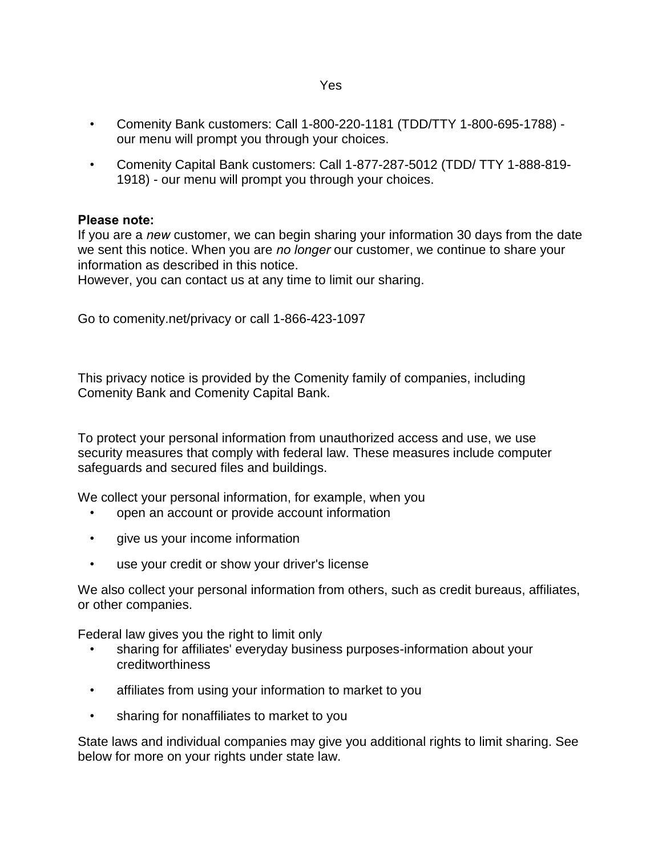- Comenity Bank customers: Call 1-800-220-1181 (TDD/TTY 1-800-695-1788) our menu will prompt you through your choices.
- Comenity Capital Bank customers: Call 1-877-287-5012 (TDD/ TTY 1-888-819- 1918) - our menu will prompt you through your choices.

#### **Please note:**

If you are a *new* customer, we can begin sharing your information 30 days from the date we sent this notice. When you are *no longer* our customer, we continue to share your information as described in this notice.

However, you can contact us at any time to limit our sharing.

Go to comenity.net/privacy or call 1-866-423-1097

This privacy notice is provided by the Comenity family of companies, including Comenity Bank and Comenity Capital Bank.

To protect your personal information from unauthorized access and use, we use security measures that comply with federal law. These measures include computer safeguards and secured files and buildings.

We collect your personal information, for example, when you

- open an account or provide account information
- give us your income information
- use your credit or show your driver's license

We also collect your personal information from others, such as credit bureaus, affiliates, or other companies.

Federal law gives you the right to limit only

- sharing for affiliates' everyday business purposes-information about your creditworthiness
- affiliates from using your information to market to you
- sharing for nonaffiliates to market to you

State laws and individual companies may give you additional rights to limit sharing. See below for more on your rights under state law.